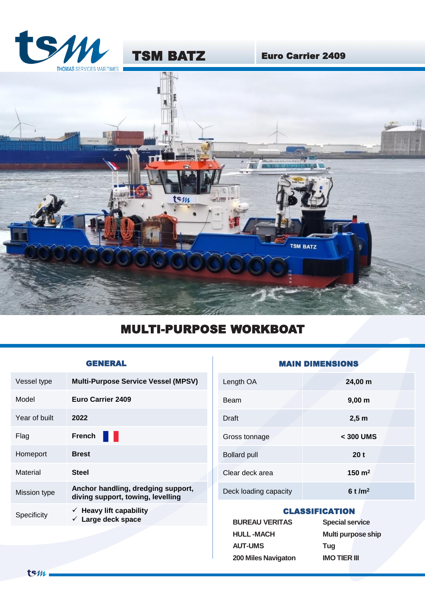

TSM BATZ Euro Carrier 2409



# MULTI-PURPOSE WORKBOAT

| Vessel type   | <b>Multi-Purpose Service Vessel (MPSV)</b>                              |
|---------------|-------------------------------------------------------------------------|
| Model         | Euro Carrier 2409                                                       |
| Year of built | 2022                                                                    |
| Flag          | <b>French</b><br>I.                                                     |
| Homeport      | <b>Brest</b>                                                            |
| Material      | <b>Steel</b>                                                            |
| Mission type  | Anchor handling, dredging support,<br>diving support, towing, levelling |
| Specificity   | $\checkmark$ Heavy lift capability<br>$\checkmark$ Large deck space     |

## GENERAL **GENERAL** MAIN DIMENSIONS

| Length OA             | 24,00 m            |
|-----------------------|--------------------|
| Beam                  | $9,00 \, \text{m}$ |
| Draft                 | $2,5$ m            |
| Gross tonnage         | $<$ 300 UMS        |
| <b>Bollard pull</b>   | 20 <sub>t</sub>    |
| Clear deck area       | 150 $m2$           |
| Deck loading capacity | 6t/m <sup>2</sup>  |

### CLASSIFICATION

| <b>BUREAU VERITAS</b> | <b>Special service</b>    |  |
|-----------------------|---------------------------|--|
| <b>HULL-MACH</b>      | <b>Multi purpose ship</b> |  |
| <b>AUT-UMS</b>        | Tuq                       |  |
| 200 Miles Navigaton   | <b>IMO TIER III</b>       |  |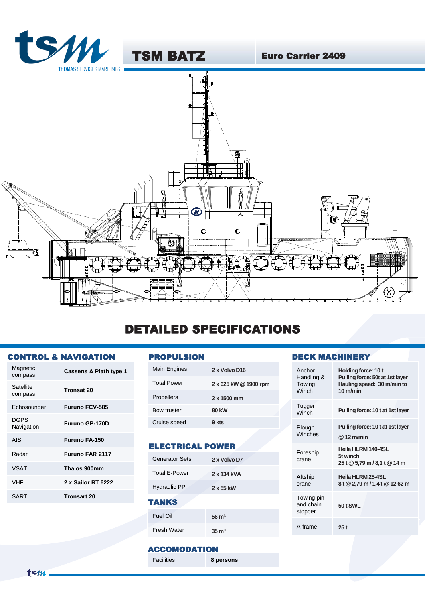

## DETAILED SPECIFICATIONS

#### CONTROL & NAVIGATION

| Magnetic<br>compass       | Cassens & Plath type 1 |
|---------------------------|------------------------|
| Satellite<br>compass      | <b>Tronsat 20</b>      |
| Echosounder               | <b>Furuno FCV-585</b>  |
| <b>DGPS</b><br>Navigation | <b>Furuno GP-170D</b>  |
| AIS                       | <b>Furuno FA-150</b>   |
| Radar                     | <b>Furuno FAR 2117</b> |
| <b>VSAT</b>               | Thalos 900mm           |
| <b>VHF</b>                | 2 x Sailor RT 6222     |
| SART                      | <b>Tronsart 20</b>     |

### PROPULSION

| Main Engines       | 2 x Volvo D16         |
|--------------------|-----------------------|
| <b>Total Power</b> | 2 x 625 kW @ 1900 rpm |
| <b>Propellers</b>  | $2 \times 1500$ mm    |
| <b>Bow truster</b> | <b>80 kW</b>          |
| Cruise speed       | 9 kts                 |
|                    |                       |

### ELECTRICAL POWER

| <b>Generator Sets</b> | 2 x Volvo D7     |
|-----------------------|------------------|
| <b>Total E-Power</b>  | 2 x 134 kVA      |
| <b>Hydraulic PP</b>   | 2 x 55 kW        |
|                       |                  |
| TANKS                 |                  |
| Fuel Oil              | $56 \text{ m}^3$ |

#### ACCOMODATION

Facilities **8 persons**

### DECK MACHINERY

| Anchor<br>Handling &<br>Towing<br>Winch | Holding force: 10 t<br>Pulling force: 50t at 1st layer<br>Hauling speed: 30 m/min to<br>$10 \text{ m/min}$ |
|-----------------------------------------|------------------------------------------------------------------------------------------------------------|
| Tugger<br>Winch                         | Pulling force: 10 t at 1st layer                                                                           |
| Plough<br>Winches                       | Pulling force: 10 t at 1st layer<br>$@12$ m/min                                                            |
| Foreship<br>crane                       | Heila HLRM 140-4SL<br>5t winch<br>25 t @ 5,79 m / 8,1 t @ 14 m                                             |
| Aftship<br>crane                        | Heila HLRM 25-4SL<br>8t @ 2,79 m / 1,4t @ 12,62 m                                                          |
| Towing pin<br>and chain<br>stopper      | 50 t SWL                                                                                                   |
| A-frame                                 | 25t                                                                                                        |
|                                         |                                                                                                            |

 $t$ s $m$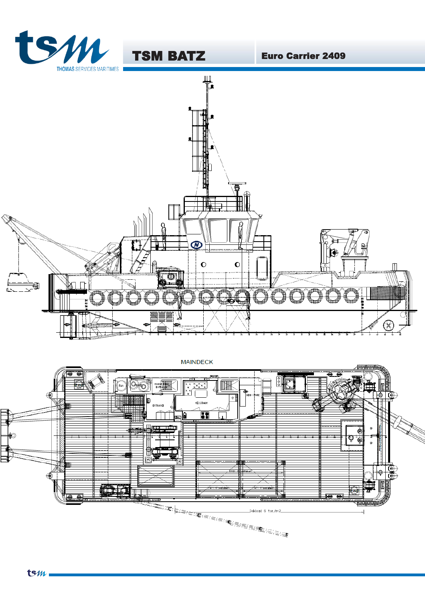





**TSM BATZ** 

**MAINDECK**  $\frac{1}{\sqrt{2}}$ Oo  $\blacksquare$ ENGINE HIMAL FAN ∤∥ n **MESS ROOM ENTRANCE** Œ Ia Ò Ф َنَّقَ  $\ddot{\mathbf{e}}$ 믧 ∐©୍ଭି Ф **OB**  $\mathbf{L}$  $\overline{1}$